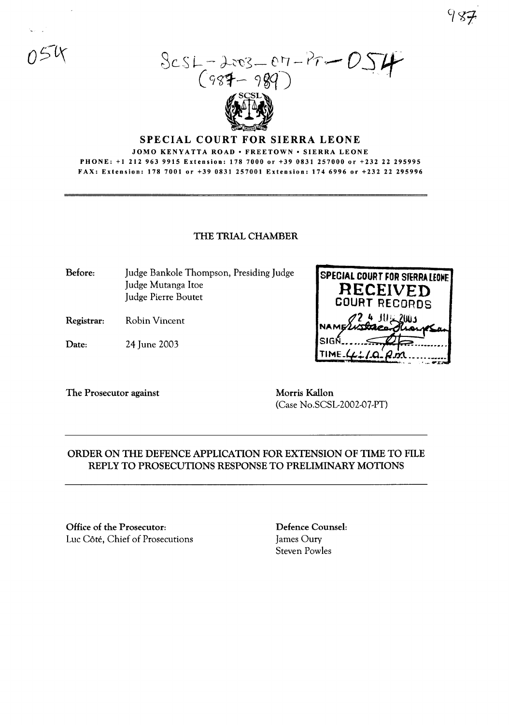$3cst - 2cos - 87 - Pr - D$ <br>(987-989)

## SPECIAL COURT FOR SIERRA LEONE

#### JOMO KENYATTA ROAD · FREETOWN · SIERRA LEONE PHONE: +1212963 9915 Extension: 1787000 or +390831 257000 or +232 22 295995 FAX: Extension: 178 7001 or +39 0831257001 Extension: 1746996 or +232 22 295996

### THE TRIAL CHAMBER

Before: Judge Bankole Thompson, Presiding Judge Judge Mutanga ltoe Judge Pierre Boutet

- Registrar: Robin Vincent
- Date: 24 June 2003

**SPECIAL COURT FOR SIERRALEONE RECEIVED COURT** RECORDS \*/ '+ JU <sup>I</sup> OUJ TIME.

The Prosecutor against Morris Kallon

(Case No.SCSL-2002-07-PT)

# ORDER ON THE DEFENCE APPLICATION FOR EXTENSION OF TIME TO FILE REPLY TO PROSECUTIONS RESPONSE TO PRELIMINARY MOTIONS

Office of the Prosecutor: Luc Côté, Chief of Prosecutions Defence Counsel: James Oury Steven Powles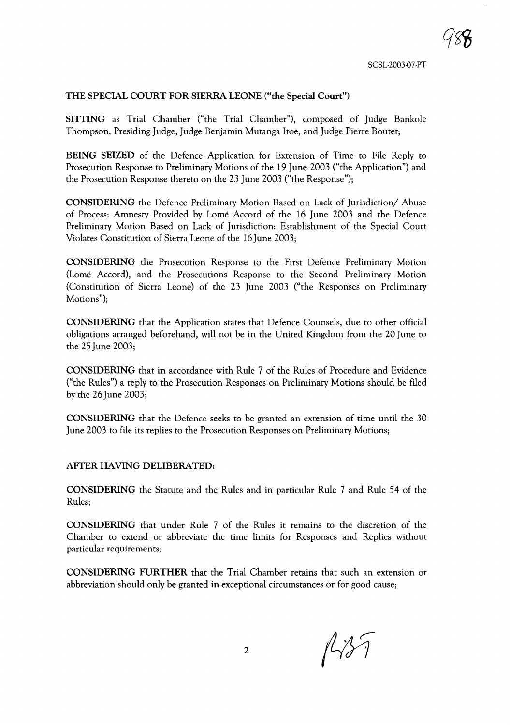### THE SPECIAL COURT FOR SIERRA LEONE ("the Special Court")

SITTING as Trial Chamber ("the Trial Chamber"), composed of Judge Bankole Thompson, Presiding Judge, Judge Benjamin Mutanga !toe, and Judge Pierre Boutet;

BEING SEIZED of the Defence Application for Extension of Time to File Reply to Prosecution Response to Preliminary Motions of the 19 June 2003 ("the Application") and the Prosecution Response thereto on the 23 June 2003 ("the Response");

CONSIDERING the Defence Preliminary Motion Based on Lack of Jurisdiction/ Abuse of Process: Amnesty Provided by Lome Accord of the 16 June 2003 and the Defence Preliminary Motion Based on Lack of Jurisdiction: Establishment of the Special Court Violates Constitution of Sierra Leone of the 16 June 2003;

CONSIDERING the Prosecution Response to the First Defence Preliminary Motion (Lome Accord), and the Prosecutions Response to the Second Preliminary Motion (Constitution of Sierra Leone) of the 23 June 2003 ("the Responses on Preliminary Motions");

CONSIDERING that the Application states that Defence Counsels, due to other official obligations arranged beforehand, will not be in the United Kingdom from the 20 June to the 25 June 2003;

CONSIDERING that in accordance with Rule 7 of the Rules of Procedure and Evidence ("the Rules") a reply to the Prosecution Responses on Preliminary Motions should be filed by the 26 June 2003;

CONSIDERING that the Defence seeks to be granted an extension of time until the 30 June 2003 to file its replies to the Prosecution Responses on Preliminary Motions;

### AFfER HAVING DELIBERATED:

CONSIDERING the Statute and the Rules and in particular Rule 7 and Rule 54 of the Rules;

CONSIDERING that under Rule 7 of the Rules it remains to the discretion of the Chamber to extend or abbreviate the time limits for Responses and Replies without particular requirements;

CONSIDERING FURTHER that the Trial Chamber retains that such an extension or abbreviation should only be granted in exceptional circumstances or for good cause;

 $1137$